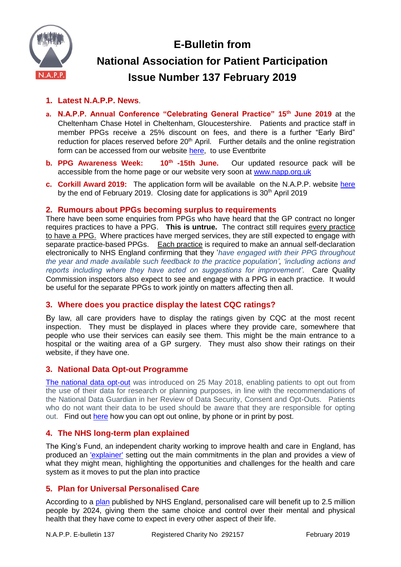

# **E-Bulletin from National Association for Patient Participation Issue Number 137 February 2019**

# **1. Latest N.A.P.P. News**.

- **a. N.A.P.P. Annual Conference "Celebrating General Practice" 15th June 2019** at the Cheltenham Chase Hotel in Cheltenham, Gloucestershire. Patients and practice staff in member PPGs receive a 25% discount on fees, and there is a further "Early Bird" reduction for places reserved before 20<sup>th</sup> April. Further details and the online registration form can be accessed from our website [here,](https://www.eventbrite.co.uk/e/celebrating-general-practice-registration-55399154362) to use Eventbrite
- **b. PPG Awareness Week: 10th** Our updated resource pack will be accessible from the home page or our website very soon at [www.napp.org.uk](http://www.napp.org.uk/)
- **c. Corkill Award 2019:** The application form will be available on the N.A.P.P. website [here](http://www.napp.org.uk/corkill.html) by the end of February 2019. Closing date for applications is  $30<sup>th</sup>$  April 2019

#### **2. Rumours about PPGs becoming surplus to requirements**

There have been some enquiries from PPGs who have heard that the GP contract no longer requires practices to have a PPG. **This is untrue.** The contract still requires every practice to have a PPG. Where practices have merged services, they are still expected to engage with separate practice-based PPGs. Each practice is required to make an annual self-declaration electronically to NHS England confirming that they '*have engaged with their PPG throughout the year and made available such feedback to the practice population'*, *'including actions and reports including where they have acted on suggestions for improvement'*. Care Quality Commission inspectors also expect to see and engage with a PPG in each practice. It would be useful for the separate PPGs to work jointly on matters affecting then all.

# **3. Where does you practice display the latest CQC ratings?**

By law, all care providers have to display the ratings given by CQC at the most recent inspection. They must be displayed in places where they provide care, somewhere that people who use their services can easily see them. This might be the main entrance to a hospital or the waiting area of a GP surgery. They must also show their ratings on their website, if they have one.

# **3. National Data Opt-out Programme**

[The national data opt-out](https://digital.nhs.uk/services/national-data-opt-out-programme) was introduced on 25 May 2018, enabling patients to opt out from the use of their data for research or planning purposes, in line with the recommendations of the National Data Guardian in her Review of Data Security, Consent and Opt-Outs. Patients who do not want their data to be used should be aware that they are responsible for opting out. Find out [here](https://www.nhs.uk/your-nhs-data-matters/manage-your-choice/) how you can opt out online, by phone or in print by post.

# **4. The NHS long-term plan explained**

The King's Fund, an independent charity working to improve health and care in England, has produced an ['explainer'](https://www.kingsfund.org.uk/publications/nhs-long-term-plan-explained) setting out the main commitments in the plan and provides a view of what they might mean, highlighting the opportunities and challenges for the health and care system as it moves to put the plan into practice

# **5. Plan for Universal Personalised Care**

According to a [plan](https://www.england.nhs.uk/publication/universal-personalised-care-implementing-the-comprehensive-model/) published by NHS England, personalised care will benefit up to 2.5 million people by 2024, giving them the same choice and control over their mental and physical health that they have come to expect in every other aspect of their life.